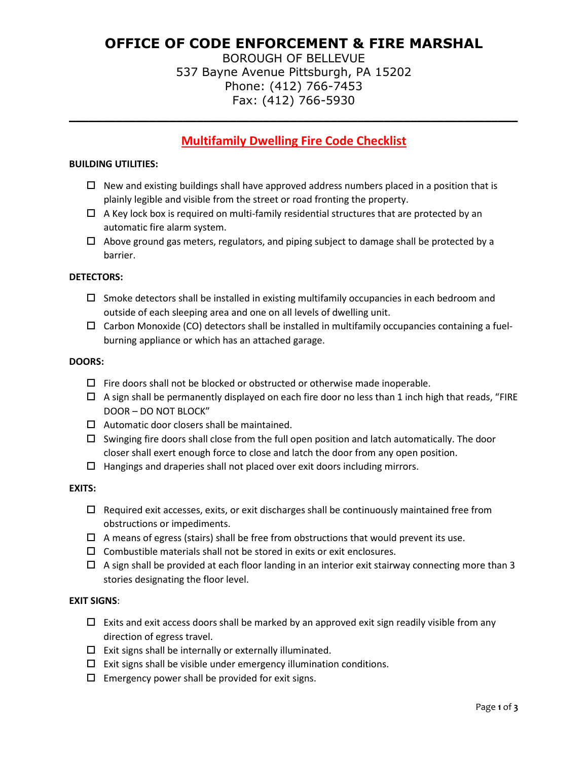# **OFFICE OF CODE ENFORCEMENT & FIRE MARSHAL**

BOROUGH OF BELLEVUE 537 Bayne Avenue Pittsburgh, PA 15202 Phone: (412) 766-7453 Fax: (412) 766-5930

# **Multifamily Dwelling Fire Code Checklist**

**\_\_\_\_\_\_\_\_\_\_\_\_\_\_\_\_\_\_\_\_\_\_\_\_\_\_\_\_\_\_\_\_\_\_\_\_\_\_\_\_\_\_\_\_\_\_\_\_\_\_\_\_\_\_\_\_\_\_\_\_\_\_\_\_\_\_\_**

## **BUILDING UTILITIES:**

- $\Box$  New and existing buildings shall have approved address numbers placed in a position that is plainly legible and visible from the street or road fronting the property.
- $\Box$  A Key lock box is required on multi-family residential structures that are protected by an automatic fire alarm system.
- $\Box$  Above ground gas meters, regulators, and piping subject to damage shall be protected by a barrier.

#### **DETECTORS:**

- $\Box$  Smoke detectors shall be installed in existing multifamily occupancies in each bedroom and outside of each sleeping area and one on all levels of dwelling unit.
- $\Box$  Carbon Monoxide (CO) detectors shall be installed in multifamily occupancies containing a fuelburning appliance or which has an attached garage.

#### **DOORS:**

- $\Box$  Fire doors shall not be blocked or obstructed or otherwise made inoperable.
- $\Box$  A sign shall be permanently displayed on each fire door no less than 1 inch high that reads, "FIRE DOOR – DO NOT BLOCK"
- $\Box$  Automatic door closers shall be maintained.
- $\Box$  Swinging fire doors shall close from the full open position and latch automatically. The door closer shall exert enough force to close and latch the door from any open position.
- $\Box$  Hangings and draperies shall not placed over exit doors including mirrors.

#### **EXITS:**

- $\Box$  Required exit accesses, exits, or exit discharges shall be continuously maintained free from obstructions or impediments.
- $\Box$  A means of egress (stairs) shall be free from obstructions that would prevent its use.
- $\Box$  Combustible materials shall not be stored in exits or exit enclosures.
- $\Box$  A sign shall be provided at each floor landing in an interior exit stairway connecting more than 3 stories designating the floor level.

# **EXIT SIGNS**:

- $\Box$  Exits and exit access doors shall be marked by an approved exit sign readily visible from any direction of egress travel.
- $\square$  Exit signs shall be internally or externally illuminated.
- $\Box$  Exit signs shall be visible under emergency illumination conditions.
- $\square$  Emergency power shall be provided for exit signs.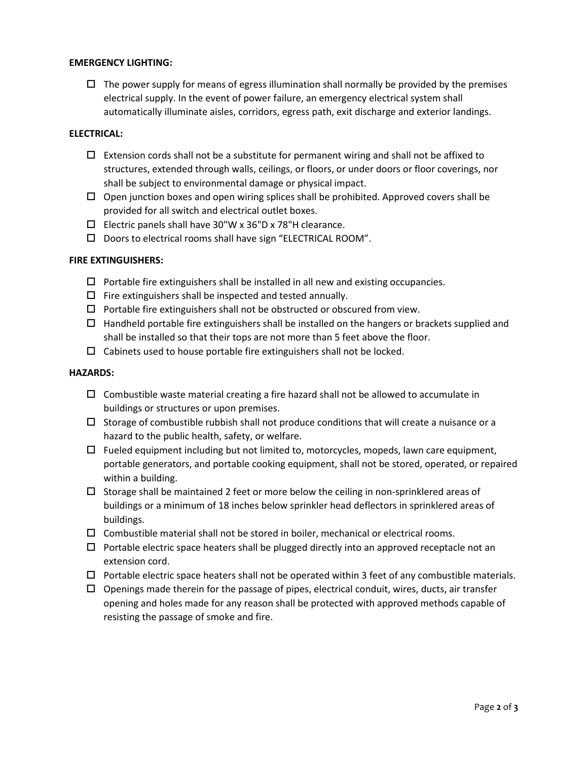# **EMERGENCY LIGHTING:**

 $\Box$  The power supply for means of egress illumination shall normally be provided by the premises electrical supply. In the event of power failure, an emergency electrical system shall automatically illuminate aisles, corridors, egress path, exit discharge and exterior landings.

#### **ELECTRICAL:**

- $\Box$  Extension cords shall not be a substitute for permanent wiring and shall not be affixed to structures, extended through walls, ceilings, or floors, or under doors or floor coverings, nor shall be subject to environmental damage or physical impact.
- $\Box$  Open junction boxes and open wiring splices shall be prohibited. Approved covers shall be provided for all switch and electrical outlet boxes.
- $\Box$  Electric panels shall have 30"W x 36"D x 78"H clearance.
- $\square$  Doors to electrical rooms shall have sign "ELECTRICAL ROOM".

#### **FIRE EXTINGUISHERS:**

- $\Box$  Portable fire extinguishers shall be installed in all new and existing occupancies.
- $\Box$  Fire extinguishers shall be inspected and tested annually.
- $\Box$  Portable fire extinguishers shall not be obstructed or obscured from view.
- $\Box$  Handheld portable fire extinguishers shall be installed on the hangers or brackets supplied and shall be installed so that their tops are not more than 5 feet above the floor.
- $\Box$  Cabinets used to house portable fire extinguishers shall not be locked.

#### **HAZARDS:**

- $\Box$  Combustible waste material creating a fire hazard shall not be allowed to accumulate in buildings or structures or upon premises.
- $\Box$  Storage of combustible rubbish shall not produce conditions that will create a nuisance or a hazard to the public health, safety, or welfare.
- $\Box$  Fueled equipment including but not limited to, motorcycles, mopeds, lawn care equipment, portable generators, and portable cooking equipment, shall not be stored, operated, or repaired within a building.
- $\Box$  Storage shall be maintained 2 feet or more below the ceiling in non-sprinklered areas of buildings or a minimum of 18 inches below sprinkler head deflectors in sprinklered areas of buildings.
- $\Box$  Combustible material shall not be stored in boiler, mechanical or electrical rooms.
- $\Box$  Portable electric space heaters shall be plugged directly into an approved receptacle not an extension cord.
- $\Box$  Portable electric space heaters shall not be operated within 3 feet of any combustible materials.
- $\Box$  Openings made therein for the passage of pipes, electrical conduit, wires, ducts, air transfer opening and holes made for any reason shall be protected with approved methods capable of resisting the passage of smoke and fire.